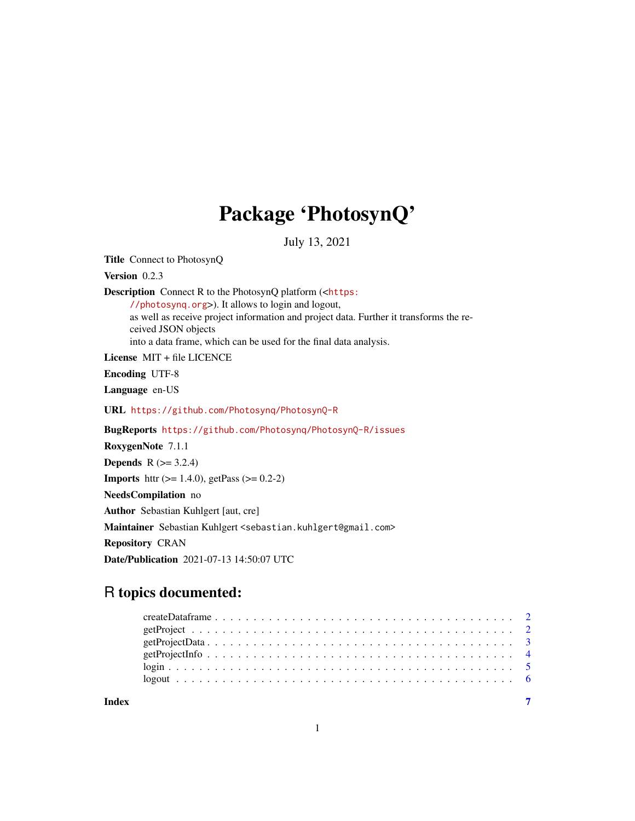## Package 'PhotosynQ'

July 13, 2021

Title Connect to PhotosynQ Version 0.2.3 Description Connect R to the PhotosynQ platform (<[https:](https://photosynq.org) [//photosynq.org](https://photosynq.org)>). It allows to login and logout, as well as receive project information and project data. Further it transforms the received JSON objects into a data frame, which can be used for the final data analysis. License MIT + file LICENCE Encoding UTF-8 Language en-US URL <https://github.com/Photosynq/PhotosynQ-R> BugReports <https://github.com/Photosynq/PhotosynQ-R/issues> RoxygenNote 7.1.1 **Depends**  $R$  ( $>= 3.2.4$ ) **Imports** httr ( $>= 1.4.0$ ), getPass ( $>= 0.2-2$ ) NeedsCompilation no Author Sebastian Kuhlgert [aut, cre] Maintainer Sebastian Kuhlgert <sebastian.kuhlgert@gmail.com> Repository CRAN Date/Publication 2021-07-13 14:50:07 UTC

## R topics documented:

| Index |  |
|-------|--|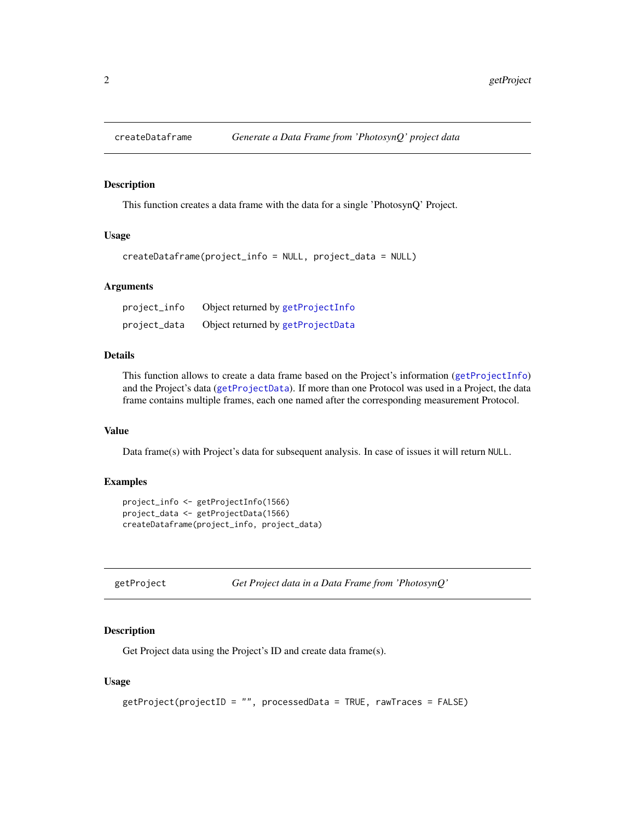<span id="page-1-1"></span><span id="page-1-0"></span>

#### Description

This function creates a data frame with the data for a single 'PhotosynQ' Project.

#### Usage

```
createDataframe(project_info = NULL, project_data = NULL)
```
#### Arguments

| project_info | Object returned by getProjectInfo |
|--------------|-----------------------------------|
| project_data | Object returned by getProjectData |

#### Details

This function allows to create a data frame based on the Project's information ([getProjectInfo](#page-3-1)) and the Project's data ([getProjectData](#page-2-1)). If more than one Protocol was used in a Project, the data frame contains multiple frames, each one named after the corresponding measurement Protocol.

#### Value

Data frame(s) with Project's data for subsequent analysis. In case of issues it will return NULL.

#### Examples

```
project_info <- getProjectInfo(1566)
project_data <- getProjectData(1566)
createDataframe(project_info, project_data)
```

```
getProject Get Project data in a Data Frame from 'PhotosynQ'
```
#### Description

Get Project data using the Project's ID and create data frame(s).

#### Usage

```
getProject(projectID = "", processedData = TRUE, rawTraces = FALSE)
```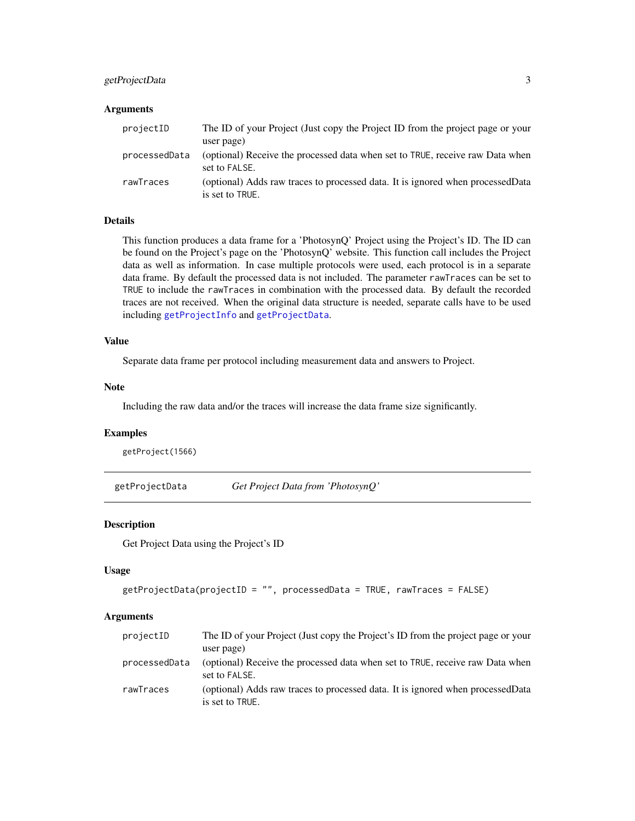## <span id="page-2-0"></span>getProjectData 3

#### Arguments

| projectID     | The ID of your Project (Just copy the Project ID from the project page or your<br>user page)       |
|---------------|----------------------------------------------------------------------------------------------------|
| processedData | (optional) Receive the processed data when set to TRUE, receive raw Data when<br>set to FALSE.     |
| rawTraces     | (optional) Adds raw traces to processed data. It is ignored when processed Data<br>is set to TRUE. |

#### Details

This function produces a data frame for a 'PhotosynQ' Project using the Project's ID. The ID can be found on the Project's page on the 'PhotosynQ' website. This function call includes the Project data as well as information. In case multiple protocols were used, each protocol is in a separate data frame. By default the processed data is not included. The parameter rawTraces can be set to TRUE to include the rawTraces in combination with the processed data. By default the recorded traces are not received. When the original data structure is needed, separate calls have to be used including [getProjectInfo](#page-3-1) and [getProjectData](#page-2-1).

#### Value

Separate data frame per protocol including measurement data and answers to Project.

#### Note

Including the raw data and/or the traces will increase the data frame size significantly.

## Examples

getProject(1566)

<span id="page-2-1"></span>getProjectData *Get Project Data from 'PhotosynQ'*

#### Description

Get Project Data using the Project's ID

#### Usage

```
getProjectData(projectID = "", processedData = TRUE, rawTraces = FALSE)
```
#### Arguments

| projectID     | The ID of your Project (Just copy the Project's ID from the project page or your                   |
|---------------|----------------------------------------------------------------------------------------------------|
|               | user page)                                                                                         |
| processedData | (optional) Receive the processed data when set to TRUE, receive raw Data when<br>set to FALSE.     |
| rawTraces     | (optional) Adds raw traces to processed data. It is ignored when processed Data<br>is set to TRUE. |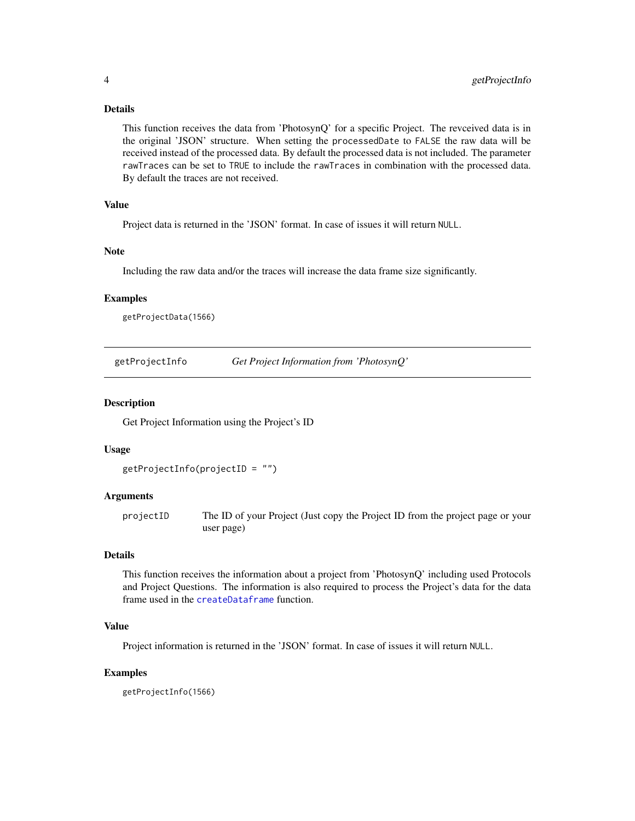## <span id="page-3-0"></span>Details

This function receives the data from 'PhotosynQ' for a specific Project. The revceived data is in the original 'JSON' structure. When setting the processedDate to FALSE the raw data will be received instead of the processed data. By default the processed data is not included. The parameter rawTraces can be set to TRUE to include the rawTraces in combination with the processed data. By default the traces are not received.

## Value

Project data is returned in the 'JSON' format. In case of issues it will return NULL.

#### Note

Including the raw data and/or the traces will increase the data frame size significantly.

#### Examples

getProjectData(1566)

<span id="page-3-1"></span>getProjectInfo *Get Project Information from 'PhotosynQ'*

#### Description

Get Project Information using the Project's ID

#### Usage

```
getProjectInfo(projectID = "")
```
#### Arguments

projectID The ID of your Project (Just copy the Project ID from the project page or your user page)

## Details

This function receives the information about a project from 'PhotosynQ' including used Protocols and Project Questions. The information is also required to process the Project's data for the data frame used in the [createDataframe](#page-1-1) function.

#### Value

Project information is returned in the 'JSON' format. In case of issues it will return NULL.

#### Examples

getProjectInfo(1566)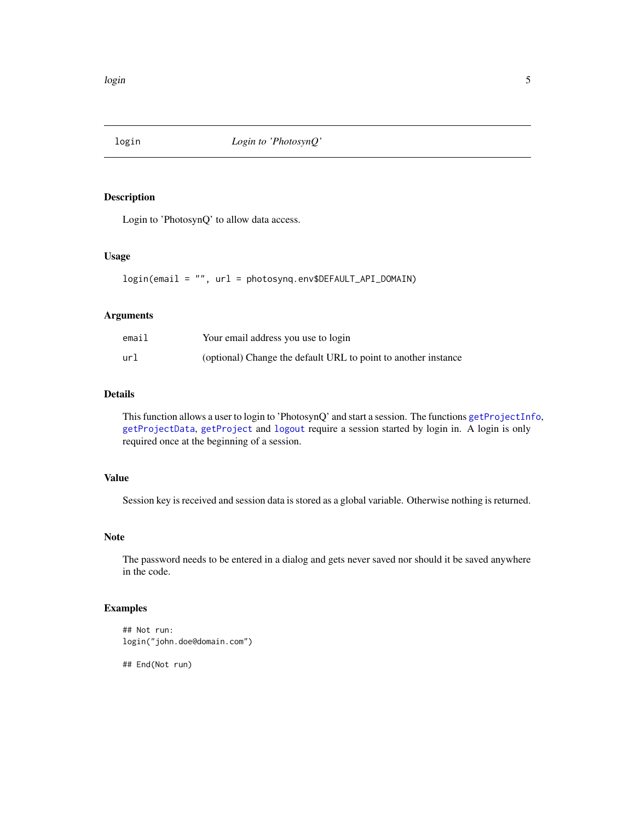<span id="page-4-0"></span>

#### Description

Login to 'PhotosynQ' to allow data access.

## Usage

login(email = "", url = photosynq.env\$DEFAULT\_API\_DOMAIN)

## Arguments

| email | Your email address you use to login                            |
|-------|----------------------------------------------------------------|
| url   | (optional) Change the default URL to point to another instance |

## Details

This function allows a user to login to 'PhotosynQ' and start a session. The functions [getProjectInfo](#page-3-1), [getProjectData](#page-2-1), [getProject](#page-1-2) and [logout](#page-5-1) require a session started by login in. A login is only required once at the beginning of a session.

#### Value

Session key is received and session data is stored as a global variable. Otherwise nothing is returned.

#### Note

The password needs to be entered in a dialog and gets never saved nor should it be saved anywhere in the code.

## Examples

```
## Not run:
login("john.doe@domain.com")
```
## End(Not run)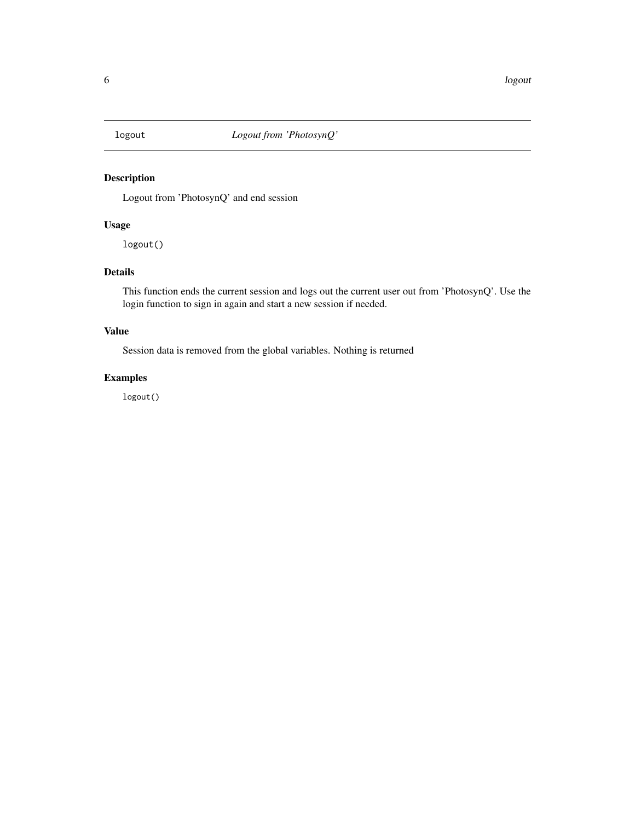<span id="page-5-1"></span><span id="page-5-0"></span>

## Description

Logout from 'PhotosynQ' and end session

## Usage

logout()

## Details

This function ends the current session and logs out the current user out from 'PhotosynQ'. Use the login function to sign in again and start a new session if needed.

## Value

Session data is removed from the global variables. Nothing is returned

## Examples

logout()